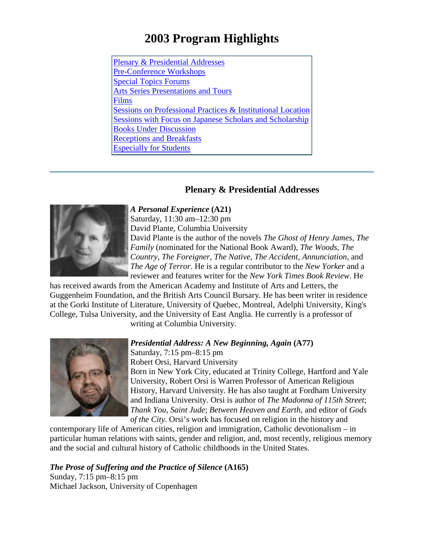# **2003 Program Highlights**

Plenary & [Presidential](#page-0-0) Addresses [Pre-Conference](#page-1-0) Workshops Special Topics [Forums](#page-3-0)  Arts Series [Presentations and Tours](#page-10-0) [Films](#page-12-0) Sessions on [Professional](#page-15-0) Practices & Institutional Location [Sessions with Focus on Japanese Scholars and Scholarship](#page-16-0) [Books Under Discussion](#page-17-0) [Receptions](#page-18-0) and Breakfasts [Especially](#page-20-0) for Students

# **Plenary & Presidential Addresses**



<span id="page-0-0"></span>*A Personal Experience* **(A21)** Saturday, 11:30 am–12:30 pm

David Plante, Columbia University David Plante is the author of the novels *The Ghost of Henry James*, *The Family* (nominated for the National Book Award), *The Woods*, *The Country*, *The Foreigner*, *The Native*, *The Accident*, *Annunciation*, and *The Age of Terror*. He is a regular contributor to the *New Yorker* and a reviewer and features writer for the *New York Times Book Review*. He

has received awards from the American Academy and Institute of Arts and Letters, the Guggenheim Foundation, and the British Arts Council Bursary. He has been writer in residence at the Gorki Institute of Literature, University of Quebec, Montreal, Adelphi University, King's College, Tulsa University, and the University of East Anglia. He currently is a professor of

writing at Columbia University.



*Presidential Address: A New Beginning, Again* **(A77)**

Saturday, 7:15 pm–8:15 pm Robert Orsi, Harvard University Born in New York City, educated at Trinity College, Hartford and Yale University, Robert Orsi is Warren Professor of American Religious History, Harvard University. He has also taught at Fordham University and Indiana University. Orsi is author of *The Madonna of 115th Street*; *Thank You, Saint Jude*; *Between Heaven and Earth*, and editor of *Gods of the City*. Orsi's work has focused on religion in the history and

contemporary life of American cities, religion and immigration, Catholic devotionalism – in particular human relations with saints, gender and religion, and, most recently, religious memory and the social and cultural history of Catholic childhoods in the United States.

# *The Prose of Suffering and the Practice of Silence* **(A165)**

Sunday, 7:15 pm–8:15 pm Michael Jackson, University of Copenhagen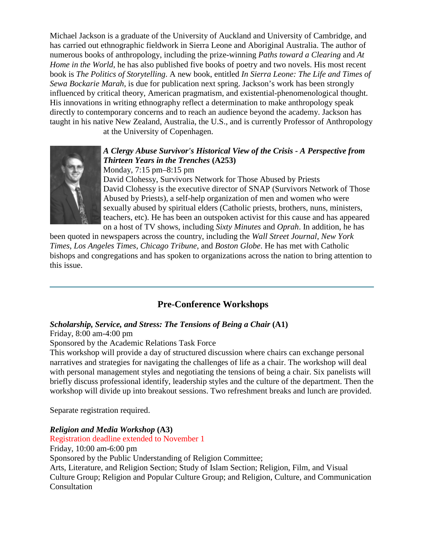Michael Jackson is a graduate of the University of Auckland and University of Cambridge, and has carried out ethnographic fieldwork in Sierra Leone and Aboriginal Australia. The author of numerous books of anthropology, including the prize-winning *Paths toward a Clearing* and *At Home in the World*, he has also published five books of poetry and two novels. His most recent book is *The Politics of Storytelling*. A new book, entitled *In Sierra Leone: The Life and Times of Sewa Bockarie Marah*, is due for publication next spring. Jackson's work has been strongly influenced by critical theory, American pragmatism, and existential-phenomenological thought. His innovations in writing ethnography reflect a determination to make anthropology speak directly to contemporary concerns and to reach an audience beyond the academy. Jackson has taught in his native New Zealand, Australia, the U.S., and is currently Professor of Anthropology

at the University of Copenhagen.



# *A Clergy Abuse Survivor's Historical View of the Crisis - A Perspective from Thirteen Years in the Trenches* **(A253)**

Monday, 7:15 pm–8:15 pm

David Clohessy, Survivors Network for Those Abused by Priests David Clohessy is the executive director of SNAP (Survivors Network of Those Abused by Priests), a self-help organization of men and women who were sexually abused by spiritual elders (Catholic priests, brothers, nuns, ministers, teachers, etc). He has been an outspoken activist for this cause and has appeared on a host of TV shows, including *Sixty Minutes* and *Oprah*. In addition, he has

been quoted in newspapers across the country, including the *Wall Street Journal*, *New York Times*, *Los Angeles Times*, *Chicago Tribune*, and *Boston Globe*. He has met with Catholic bishops and congregations and has spoken to organizations across the nation to bring attention to this issue.

# <span id="page-1-0"></span>**Pre-Conference Workshops**

# *Scholarship, Service, and Stress: The Tensions of Being a Chair* **(A1)**

Friday, 8:00 am-4:00 pm

Sponsored by the Academic Relations Task Force

This workshop will provide a day of structured discussion where chairs can exchange personal narratives and strategies for navigating the challenges of life as a chair. The workshop will deal with personal management styles and negotiating the tensions of being a chair. Six panelists will briefly discuss professional identify, leadership styles and the culture of the department. Then the workshop will divide up into breakout sessions. Two refreshment breaks and lunch are provided.

Separate registration required.

# *Religion and Media Workshop* **(A3)**

Registration deadline extended to November 1 Friday, 10:00 am-6:00 pm Sponsored by the Public Understanding of Religion Committee; Arts, Literature, and Religion Section; Study of Islam Section; Religion, Film, and Visual Culture Group; Religion and Popular Culture Group; and Religion, Culture, and Communication Consultation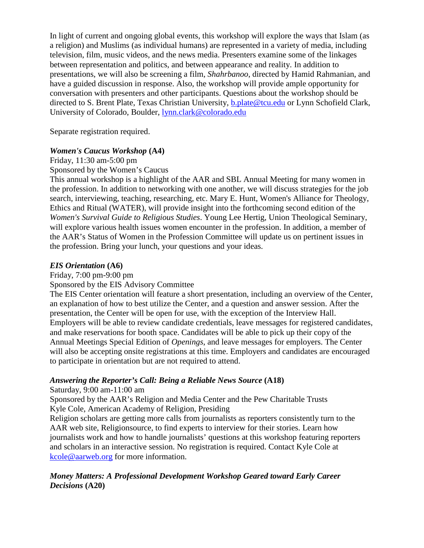In light of current and ongoing global events, this workshop will explore the ways that Islam (as a religion) and Muslims (as individual humans) are represented in a variety of media, including television, film, music videos, and the news media. Presenters examine some of the linkages between representation and politics, and between appearance and reality. In addition to presentations, we will also be screening a film, *Shahrbanoo*, directed by Hamid Rahmanian, and have a guided discussion in response. Also, the workshop will provide ample opportunity for conversation with presenters and other participants. Questions about the workshop should be directed to S. Brent Plate, Texas Christian University, [b.plate@tcu.edu](mailto:b.plate@tcu.edu) or Lynn Schofield Clark, University of Colorado, Boulder, [lynn.clark@colorado.edu](mailto:lynn.clark@colorado.edu)

Separate registration required.

# *Women's Caucus Workshop* **(A4)**

Friday, 11:30 am-5:00 pm

Sponsored by the Women's Caucus

This annual workshop is a highlight of the AAR and SBL Annual Meeting for many women in the profession. In addition to networking with one another, we will discuss strategies for the job search, interviewing, teaching, researching, etc. Mary E. Hunt, Women's Alliance for Theology, Ethics and Ritual (WATER), will provide insight into the forthcoming second edition of the *Women's Survival Guide to Religious Studies*. Young Lee Hertig, Union Theological Seminary, will explore various health issues women encounter in the profession. In addition, a member of the AAR's Status of Women in the Profession Committee will update us on pertinent issues in the profession. Bring your lunch, your questions and your ideas.

#### *EIS Orientation* **(A6)**

Friday, 7:00 pm-9:00 pm

Sponsored by the EIS Advisory Committee

The EIS Center orientation will feature a short presentation, including an overview of the Center, an explanation of how to best utilize the Center, and a question and answer session. After the presentation, the Center will be open for use, with the exception of the Interview Hall. Employers will be able to review candidate credentials, leave messages for registered candidates, and make reservations for booth space. Candidates will be able to pick up their copy of the Annual Meetings Special Edition of *Openings*, and leave messages for employers. The Center will also be accepting onsite registrations at this time. Employers and candidates are encouraged to participate in orientation but are not required to attend.

# *Answering the Reporter's Call: Being a Reliable News Source* **(A18)**

Saturday, 9:00 am-11:00 am

Sponsored by the AAR's Religion and Media Center and the Pew Charitable Trusts Kyle Cole, American Academy of Religion, Presiding

Religion scholars are getting more calls from journalists as reporters consistently turn to the AAR web site, Religionsource, to find experts to interview for their stories. Learn how journalists work and how to handle journalists' questions at this workshop featuring reporters and scholars in an interactive session. No registration is required. Contact Kyle Cole at [kcole@aarweb.org](mailto:kcole@aarweb.org) for more information.

*Money Matters: A Professional Development Workshop Geared toward Early Career Decisions* **(A20)**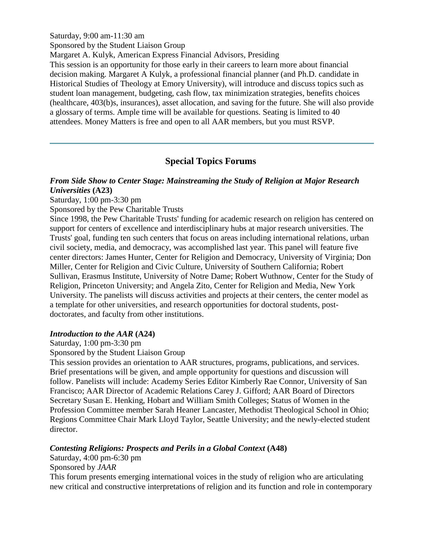Saturday, 9:00 am-11:30 am

Sponsored by the Student Liaison Group

Margaret A. Kulyk, American Express Financial Advisors, Presiding

This session is an opportunity for those early in their careers to learn more about financial decision making. Margaret A Kulyk, a professional financial planner (and Ph.D. candidate in Historical Studies of Theology at Emory University), will introduce and discuss topics such as student loan management, budgeting, cash flow, tax minimization strategies, benefits choices (healthcare, 403(b)s, insurances), asset allocation, and saving for the future. She will also provide a glossary of terms. Ample time will be available for questions. Seating is limited to 40 attendees. Money Matters is free and open to all AAR members, but you must RSVP.

# **Special Topics Forums**

# <span id="page-3-0"></span>*From Side Show to Center Stage: Mainstreaming the Study of Religion at Major Research Universities* **(A23)**

Saturday, 1:00 pm-3:30 pm

Sponsored by the Pew Charitable Trusts

Since 1998, the Pew Charitable Trusts' funding for academic research on religion has centered on support for centers of excellence and interdisciplinary hubs at major research universities. The Trusts' goal, funding ten such centers that focus on areas including international relations, urban civil society, media, and democracy, was accomplished last year. This panel will feature five center directors: James Hunter, Center for Religion and Democracy, University of Virginia; Don Miller, Center for Religion and Civic Culture, University of Southern California; Robert Sullivan, Erasmus Institute, University of Notre Dame; Robert Wuthnow, Center for the Study of Religion, Princeton University; and Angela Zito, Center for Religion and Media, New York University. The panelists will discuss activities and projects at their centers, the center model as a template for other universities, and research opportunities for doctoral students, postdoctorates, and faculty from other institutions.

#### *Introduction to the AAR* **(A24)**

Saturday, 1:00 pm-3:30 pm

Sponsored by the Student Liaison Group

This session provides an orientation to AAR structures, programs, publications, and services. Brief presentations will be given, and ample opportunity for questions and discussion will follow. Panelists will include: Academy Series Editor Kimberly Rae Connor, University of San Francisco; AAR Director of Academic Relations Carey J. Gifford; AAR Board of Directors Secretary Susan E. Henking, Hobart and William Smith Colleges; Status of Women in the Profession Committee member Sarah Heaner Lancaster, Methodist Theological School in Ohio; Regions Committee Chair Mark Lloyd Taylor, Seattle University; and the newly-elected student director.

# *Contesting Religions: Prospects and Perils in a Global Context* **(A48)**

Saturday, 4:00 pm-6:30 pm

Sponsored by *JAAR*

This forum presents emerging international voices in the study of religion who are articulating new critical and constructive interpretations of religion and its function and role in contemporary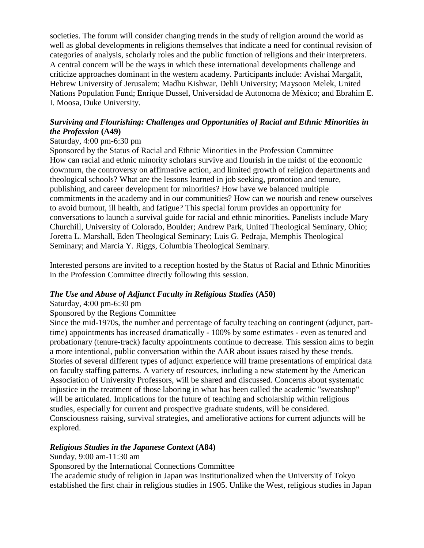societies. The forum will consider changing trends in the study of religion around the world as well as global developments in religions themselves that indicate a need for continual revision of categories of analysis, scholarly roles and the public function of religions and their interpreters. A central concern will be the ways in which these international developments challenge and criticize approaches dominant in the western academy. Participants include: Avishai Margalit, Hebrew University of Jerusalem; Madhu Kishwar, Dehli University; Maysoon Melek, United Nations Population Fund; Enrique Dussel, Universidad de Autonoma de México; and Ebrahim E. I. Moosa, Duke University.

# *Surviving and Flourishing: Challenges and Opportunities of Racial and Ethnic Minorities in the Profession* **(A49)**

# Saturday, 4:00 pm-6:30 pm

Sponsored by the Status of Racial and Ethnic Minorities in the Profession Committee How can racial and ethnic minority scholars survive and flourish in the midst of the economic downturn, the controversy on affirmative action, and limited growth of religion departments and theological schools? What are the lessons learned in job seeking, promotion and tenure, publishing, and career development for minorities? How have we balanced multiple commitments in the academy and in our communities? How can we nourish and renew ourselves to avoid burnout, ill health, and fatigue? This special forum provides an opportunity for conversations to launch a survival guide for racial and ethnic minorities. Panelists include Mary Churchill, University of Colorado, Boulder; Andrew Park, United Theological Seminary, Ohio; Joretta L. Marshall, Eden Theological Seminary; Luis G. Pedraja, Memphis Theological Seminary; and Marcia Y. Riggs, Columbia Theological Seminary.

Interested persons are invited to a reception hosted by the Status of Racial and Ethnic Minorities in the Profession Committee directly following this session.

# *The Use and Abuse of Adjunct Faculty in Religious Studies* **(A50)**

# Saturday, 4:00 pm-6:30 pm

# Sponsored by the Regions Committee

Since the mid-1970s, the number and percentage of faculty teaching on contingent (adjunct, parttime) appointments has increased dramatically - 100% by some estimates - even as tenured and probationary (tenure-track) faculty appointments continue to decrease. This session aims to begin a more intentional, public conversation within the AAR about issues raised by these trends. Stories of several different types of adjunct experience will frame presentations of empirical data on faculty staffing patterns. A variety of resources, including a new statement by the American Association of University Professors, will be shared and discussed. Concerns about systematic injustice in the treatment of those laboring in what has been called the academic "sweatshop" will be articulated. Implications for the future of teaching and scholarship within religious studies, especially for current and prospective graduate students, will be considered. Consciousness raising, survival strategies, and ameliorative actions for current adjuncts will be explored.

# *Religious Studies in the Japanese Context* **(A84)**

Sunday, 9:00 am-11:30 am

Sponsored by the International Connections Committee

The academic study of religion in Japan was institutionalized when the University of Tokyo established the first chair in religious studies in 1905. Unlike the West, religious studies in Japan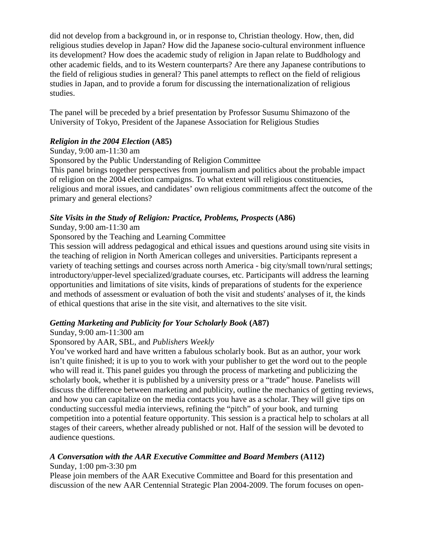did not develop from a background in, or in response to, Christian theology. How, then, did religious studies develop in Japan? How did the Japanese socio-cultural environment influence its development? How does the academic study of religion in Japan relate to Buddhology and other academic fields, and to its Western counterparts? Are there any Japanese contributions to the field of religious studies in general? This panel attempts to reflect on the field of religious studies in Japan, and to provide a forum for discussing the internationalization of religious studies.

The panel will be preceded by a brief presentation by Professor Susumu Shimazono of the University of Tokyo, President of the Japanese Association for Religious Studies

# *Religion in the 2004 Election* **(A85)**

# Sunday, 9:00 am-11:30 am

Sponsored by the Public Understanding of Religion Committee

This panel brings together perspectives from journalism and politics about the probable impact of religion on the 2004 election campaigns. To what extent will religious constituencies, religious and moral issues, and candidates' own religious commitments affect the outcome of the primary and general elections?

# *Site Visits in the Study of Religion: Practice, Problems, Prospects* **(A86)**

# Sunday, 9:00 am-11:30 am

# Sponsored by the Teaching and Learning Committee

This session will address pedagogical and ethical issues and questions around using site visits in the teaching of religion in North American colleges and universities. Participants represent a variety of teaching settings and courses across north America - big city/small town/rural settings; introductory/upper-level specialized/graduate courses, etc. Participants will address the learning opportunities and limitations of site visits, kinds of preparations of students for the experience and methods of assessment or evaluation of both the visit and students' analyses of it, the kinds of ethical questions that arise in the site visit, and alternatives to the site visit.

# *Getting Marketing and Publicity for Your Scholarly Book* **(A87)**

# Sunday, 9:00 am-11:300 am

# Sponsored by AAR, SBL, and *Publishers Weekly*

You've worked hard and have written a fabulous scholarly book. But as an author, your work isn't quite finished; it is up to you to work with your publisher to get the word out to the people who will read it. This panel guides you through the process of marketing and publicizing the scholarly book, whether it is published by a university press or a "trade" house. Panelists will discuss the difference between marketing and publicity, outline the mechanics of getting reviews, and how you can capitalize on the media contacts you have as a scholar. They will give tips on conducting successful media interviews, refining the "pitch" of your book, and turning competition into a potential feature opportunity. This session is a practical help to scholars at all stages of their careers, whether already published or not. Half of the session will be devoted to audience questions.

# *A Conversation with the AAR Executive Committee and Board Members* **(A112)**

# Sunday, 1:00 pm-3:30 pm

Please join members of the AAR Executive Committee and Board for this presentation and discussion of the new AAR Centennial Strategic Plan 2004-2009. The forum focuses on open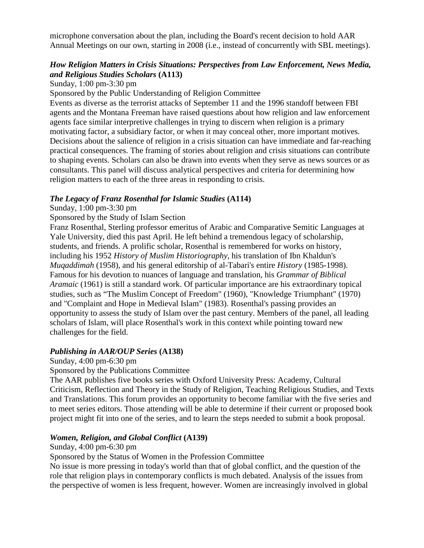microphone conversation about the plan, including the Board's recent decision to hold AAR Annual Meetings on our own, starting in 2008 (i.e., instead of concurrently with SBL meetings).

# *How Religion Matters in Crisis Situations: Perspectives from Law Enforcement, News Media, and Religious Studies Scholars* **(A113)**

Sunday, 1:00 pm-3:30 pm

Sponsored by the Public Understanding of Religion Committee

Events as diverse as the terrorist attacks of September 11 and the 1996 standoff between FBI agents and the Montana Freeman have raised questions about how religion and law enforcement agents face similar interpretive challenges in trying to discern when religion is a primary motivating factor, a subsidiary factor, or when it may conceal other, more important motives. Decisions about the salience of religion in a crisis situation can have immediate and far-reaching practical consequences. The framing of stories about religion and crisis situations can contribute to shaping events. Scholars can also be drawn into events when they serve as news sources or as consultants. This panel will discuss analytical perspectives and criteria for determining how religion matters to each of the three areas in responding to crisis.

#### *The Legacy of Franz Rosenthal for Islamic Studies* **(A114)**

Sunday, 1:00 pm-3:30 pm

Sponsored by the Study of Islam Section

Franz Rosenthal, Sterling professor emeritus of Arabic and Comparative Semitic Languages at Yale University, died this past April. He left behind a tremendous legacy of scholarship, students, and friends. A prolific scholar, Rosenthal is remembered for works on history, including his 1952 *History of Muslim Historiography*, his translation of Ibn Khaldun's *Muqaddimah* (1958), and his general editorship of al-Tabari's entire *History* (1985-1998). Famous for his devotion to nuances of language and translation, his *Grammar of Biblical Aramaic* (1961) is still a standard work. Of particular importance are his extraordinary topical studies, such as "The Muslim Concept of Freedom" (1960), "Knowledge Triumphant" (1970) and "Complaint and Hope in Medieval Islam" (1983). Rosenthal's passing provides an opportunity to assess the study of Islam over the past century. Members of the panel, all leading scholars of Islam, will place Rosenthal's work in this context while pointing toward new challenges for the field.

# *Publishing in AAR/OUP Series* **(A138)**

Sunday, 4:00 pm-6:30 pm

Sponsored by the Publications Committee

The AAR publishes five books series with Oxford University Press: Academy, Cultural Criticism, Reflection and Theory in the Study of Religion, Teaching Religious Studies, and Texts and Translations. This forum provides an opportunity to become familiar with the five series and to meet series editors. Those attending will be able to determine if their current or proposed book project might fit into one of the series, and to learn the steps needed to submit a book proposal.

#### *Women, Religion, and Global Conflict* **(A139)**

#### Sunday, 4:00 pm-6:30 pm

Sponsored by the Status of Women in the Profession Committee

No issue is more pressing in today's world than that of global conflict, and the question of the role that religion plays in contemporary conflicts is much debated. Analysis of the issues from the perspective of women is less frequent, however. Women are increasingly involved in global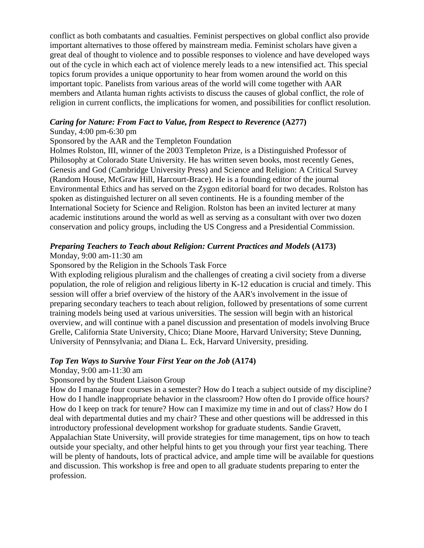conflict as both combatants and casualties. Feminist perspectives on global conflict also provide important alternatives to those offered by mainstream media. Feminist scholars have given a great deal of thought to violence and to possible responses to violence and have developed ways out of the cycle in which each act of violence merely leads to a new intensified act. This special topics forum provides a unique opportunity to hear from women around the world on this important topic. Panelists from various areas of the world will come together with AAR members and Atlanta human rights activists to discuss the causes of global conflict, the role of religion in current conflicts, the implications for women, and possibilities for conflict resolution.

#### *Caring for Nature: From Fact to Value, from Respect to Reverence* **(A277)**

#### Sunday, 4:00 pm-6:30 pm

#### Sponsored by the AAR and the Templeton Foundation

Holmes Rolston, III, winner of the 2003 Templeton Prize, is a Distinguished Professor of Philosophy at Colorado State University. He has written seven books, most recently Genes, Genesis and God (Cambridge University Press) and Science and Religion: A Critical Survey (Random House, McGraw Hill, Harcourt-Brace). He is a founding editor of the journal Environmental Ethics and has served on the Zygon editorial board for two decades. Rolston has spoken as distinguished lecturer on all seven continents. He is a founding member of the International Society for Science and Religion. Rolston has been an invited lecturer at many academic institutions around the world as well as serving as a consultant with over two dozen conservation and policy groups, including the US Congress and a Presidential Commission.

#### *Preparing Teachers to Teach about Religion: Current Practices and Models* **(A173)**

#### Monday, 9:00 am-11:30 am

#### Sponsored by the Religion in the Schools Task Force

With exploding religious pluralism and the challenges of creating a civil society from a diverse population, the role of religion and religious liberty in K-12 education is crucial and timely. This session will offer a brief overview of the history of the AAR's involvement in the issue of preparing secondary teachers to teach about religion, followed by presentations of some current training models being used at various universities. The session will begin with an historical overview, and will continue with a panel discussion and presentation of models involving Bruce Grelle, California State University, Chico; Diane Moore, Harvard University; Steve Dunning, University of Pennsylvania; and Diana L. Eck, Harvard University, presiding.

#### *Top Ten Ways to Survive Your First Year on the Job* **(A174)**

#### Monday, 9:00 am-11:30 am

#### Sponsored by the Student Liaison Group

How do I manage four courses in a semester? How do I teach a subject outside of my discipline? How do I handle inappropriate behavior in the classroom? How often do I provide office hours? How do I keep on track for tenure? How can I maximize my time in and out of class? How do I deal with departmental duties and my chair? These and other questions will be addressed in this introductory professional development workshop for graduate students. Sandie Gravett, Appalachian State University, will provide strategies for time management, tips on how to teach outside your specialty, and other helpful hints to get you through your first year teaching. There will be plenty of handouts, lots of practical advice, and ample time will be available for questions and discussion. This workshop is free and open to all graduate students preparing to enter the profession.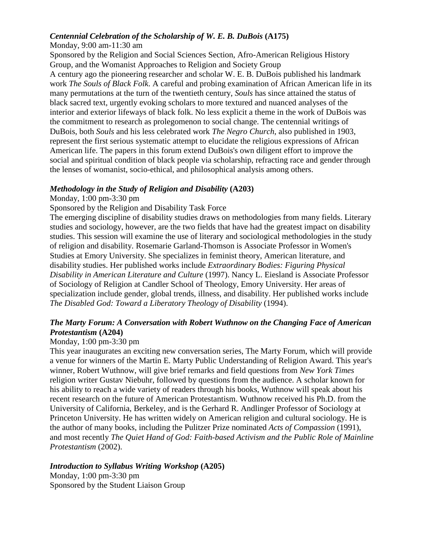# *Centennial Celebration of the Scholarship of W. E. B. DuBois* **(A175)**

Monday, 9:00 am-11:30 am

Sponsored by the Religion and Social Sciences Section, Afro-American Religious History Group, and the Womanist Approaches to Religion and Society Group

A century ago the pioneering researcher and scholar W. E. B. DuBois published his landmark work *The Souls of Black Folk*. A careful and probing examination of African American life in its many permutations at the turn of the twentieth century, *Souls* has since attained the status of black sacred text, urgently evoking scholars to more textured and nuanced analyses of the interior and exterior lifeways of black folk. No less explicit a theme in the work of DuBois was the commitment to research as prolegomenon to social change. The centennial writings of DuBois, both *Souls* and his less celebrated work *The Negro Church*, also published in 1903, represent the first serious systematic attempt to elucidate the religious expressions of African American life. The papers in this forum extend DuBois's own diligent effort to improve the social and spiritual condition of black people via scholarship, refracting race and gender through the lenses of womanist, socio-ethical, and philosophical analysis among others.

# *Methodology in the Study of Religion and Disability* **(A203)**

Monday, 1:00 pm-3:30 pm

Sponsored by the Religion and Disability Task Force

The emerging discipline of disability studies draws on methodologies from many fields. Literary studies and sociology, however, are the two fields that have had the greatest impact on disability studies. This session will examine the use of literary and sociological methodologies in the study of religion and disability. Rosemarie Garland-Thomson is Associate Professor in Women's Studies at Emory University. She specializes in feminist theory, American literature, and disability studies. Her published works include *Extraordinary Bodies: Figuring Physical Disability in American Literature and Culture* (1997). Nancy L. Eiesland is Associate Professor of Sociology of Religion at Candler School of Theology, Emory University. Her areas of specialization include gender, global trends, illness, and disability. Her published works include *The Disabled God: Toward a Liberatory Theology of Disability* (1994).

# *The Marty Forum: A Conversation with Robert Wuthnow on the Changing Face of American Protestantism* **(A204)**

# Monday, 1:00 pm-3:30 pm

This year inaugurates an exciting new conversation series, The Marty Forum, which will provide a venue for winners of the Martin E. Marty Public Understanding of Religion Award. This year's winner, Robert Wuthnow, will give brief remarks and field questions from *New York Times* religion writer Gustav Niebuhr, followed by questions from the audience. A scholar known for his ability to reach a wide variety of readers through his books, Wuthnow will speak about his recent research on the future of American Protestantism. Wuthnow received his Ph.D. from the University of California, Berkeley, and is the Gerhard R. Andlinger Professor of Sociology at Princeton University. He has written widely on American religion and cultural sociology. He is the author of many books, including the Pulitzer Prize nominated *Acts of Compassion* (1991), and most recently *The Quiet Hand of God: Faith-based Activism and the Public Role of Mainline Protestantism* (2002).

# *Introduction to Syllabus Writing Workshop* **(A205)**

Monday, 1:00 pm-3:30 pm Sponsored by the Student Liaison Group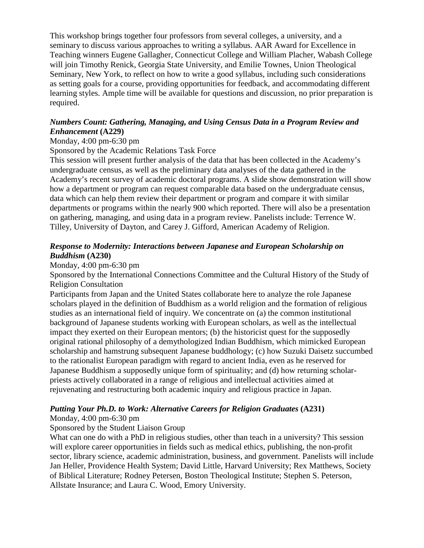This workshop brings together four professors from several colleges, a university, and a seminary to discuss various approaches to writing a syllabus. AAR Award for Excellence in Teaching winners Eugene Gallagher, Connecticut College and William Placher, Wabash College will join Timothy Renick, Georgia State University, and Emilie Townes, Union Theological Seminary, New York, to reflect on how to write a good syllabus, including such considerations as setting goals for a course, providing opportunities for feedback, and accommodating different learning styles. Ample time will be available for questions and discussion, no prior preparation is required.

# *Numbers Count: Gathering, Managing, and Using Census Data in a Program Review and Enhancement* **(A229)**

#### Monday, 4:00 pm-6:30 pm

Sponsored by the Academic Relations Task Force

This session will present further analysis of the data that has been collected in the Academy's undergraduate census, as well as the preliminary data analyses of the data gathered in the Academy's recent survey of academic doctoral programs. A slide show demonstration will show how a department or program can request comparable data based on the undergraduate census, data which can help them review their department or program and compare it with similar departments or programs within the nearly 900 which reported. There will also be a presentation on gathering, managing, and using data in a program review. Panelists include: Terrence W. Tilley, University of Dayton, and Carey J. Gifford, American Academy of Religion.

#### *Response to Modernity: Interactions between Japanese and European Scholarship on Buddhism* **(A230)**

#### Monday, 4:00 pm-6:30 pm

Sponsored by the International Connections Committee and the Cultural History of the Study of Religion Consultation

Participants from Japan and the United States collaborate here to analyze the role Japanese scholars played in the definition of Buddhism as a world religion and the formation of religious studies as an international field of inquiry. We concentrate on (a) the common institutional background of Japanese students working with European scholars, as well as the intellectual impact they exerted on their European mentors; (b) the historicist quest for the supposedly original rational philosophy of a demythologized Indian Buddhism, which mimicked European scholarship and hamstrung subsequent Japanese buddhology; (c) how Suzuki Daisetz succumbed to the rationalist European paradigm with regard to ancient India, even as he reserved for Japanese Buddhism a supposedly unique form of spirituality; and (d) how returning scholarpriests actively collaborated in a range of religious and intellectual activities aimed at rejuvenating and restructuring both academic inquiry and religious practice in Japan.

# *Putting Your Ph.D. to Work: Alternative Careers for Religion Graduates* **(A231)**

Monday, 4:00 pm-6:30 pm

# Sponsored by the Student Liaison Group

What can one do with a PhD in religious studies, other than teach in a university? This session will explore career opportunities in fields such as medical ethics, publishing, the non-profit sector, library science, academic administration, business, and government. Panelists will include Jan Heller, Providence Health System; David Little, Harvard University; Rex Matthews, Society of Biblical Literature; Rodney Petersen, Boston Theological Institute; Stephen S. Peterson, Allstate Insurance; and Laura C. Wood, Emory University.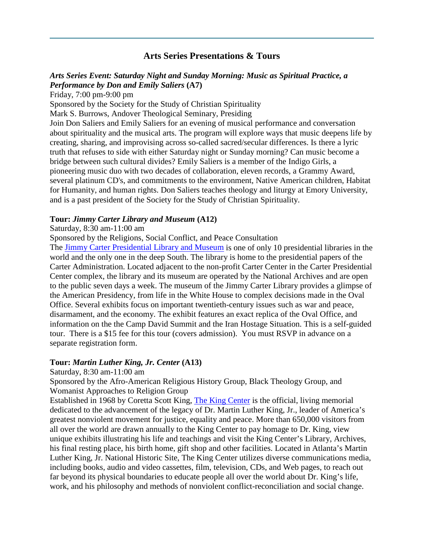# **Arts Series Presentations & Tours**

#### <span id="page-10-0"></span>*Arts Series Event: Saturday Night and Sunday Morning: Music as Spiritual Practice, a Performance by Don and Emily Saliers* **(A7)**

Friday, 7:00 pm-9:00 pm

Sponsored by the Society for the Study of Christian Spirituality

Mark S. Burrows, Andover Theological Seminary, Presiding

Join Don Saliers and Emily Saliers for an evening of musical performance and conversation about spirituality and the musical arts. The program will explore ways that music deepens life by creating, sharing, and improvising across so-called sacred/secular differences. Is there a lyric truth that refuses to side with either Saturday night or Sunday morning? Can music become a bridge between such cultural divides? Emily Saliers is a member of the Indigo Girls, a pioneering music duo with two decades of collaboration, eleven records, a Grammy Award, several platinum CD's, and commitments to the environment, Native American children, Habitat for Humanity, and human rights. Don Saliers teaches theology and liturgy at Emory University, and is a past president of the Society for the Study of Christian Spirituality.

#### **Tour:** *Jimmy Carter Library and Museum* **(A12)**

#### Saturday, 8:30 am-11:00 am

Sponsored by the Religions, Social Conflict, and Peace Consultation

The [Jimmy Carter Presidential Library and Museum](http://carterlibrary.galileo.peachnet.edu/) is one of only 10 presidential libraries in the world and the only one in the deep South. The library is home to the presidential papers of the Carter Administration. Located adjacent to the non-profit Carter Center in the Carter Presidential Center complex, the library and its museum are operated by the National Archives and are open to the public seven days a week. The museum of the Jimmy Carter Library provides a glimpse of the American Presidency, from life in the White House to complex decisions made in the Oval Office. Several exhibits focus on important twentieth-century issues such as war and peace, disarmament, and the economy. The exhibit features an exact replica of the Oval Office, and information on the the Camp David Summit and the Iran Hostage Situation. This is a self-guided tour. There is a \$15 fee for this tour (covers admission). You must RSVP in advance on a separate registration form.

#### **Tour:** *Martin Luther King, Jr. Center* **(A13)**

Saturday, 8:30 am-11:00 am

Sponsored by the Afro-American Religious History Group, Black Theology Group, and Womanist Approaches to Religion Group

Established in 1968 by Coretta Scott King, [The King Center](http://thekingcenter.com/tkc/index.asp) is the official, living memorial dedicated to the advancement of the legacy of Dr. Martin Luther King, Jr., leader of America's greatest nonviolent movement for justice, equality and peace. More than 650,000 visitors from all over the world are drawn annually to the King Center to pay homage to Dr. King, view unique exhibits illustrating his life and teachings and visit the King Center's Library, Archives, his final resting place, his birth home, gift shop and other facilities. Located in Atlanta's Martin Luther King, Jr. National Historic Site, The King Center utilizes diverse communications media, including books, audio and video cassettes, film, television, CDs, and Web pages, to reach out far beyond its physical boundaries to educate people all over the world about Dr. King's life, work, and his philosophy and methods of nonviolent conflict-reconciliation and social change.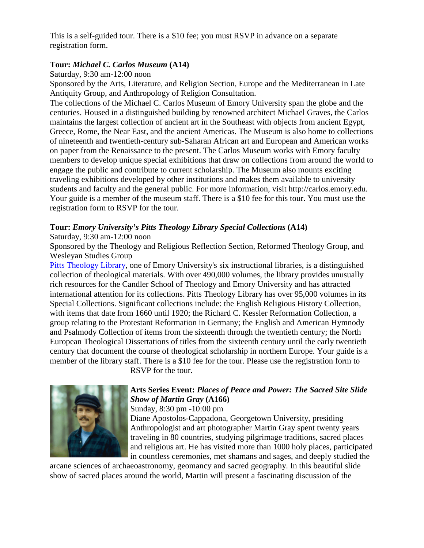This is a self-guided tour. There is a \$10 fee; you must RSVP in advance on a separate registration form.

#### **Tour:** *Michael C. Carlos Museum* **(A14)**

Saturday, 9:30 am-12:00 noon

Sponsored by the Arts, Literature, and Religion Section, Europe and the Mediterranean in Late Antiquity Group, and Anthropology of Religion Consultation.

The collections of the Michael C. Carlos Museum of Emory University span the globe and the centuries. Housed in a distinguished building by renowned architect Michael Graves, the Carlos maintains the largest collection of ancient art in the Southeast with objects from ancient Egypt, Greece, Rome, the Near East, and the ancient Americas. The Museum is also home to collections of nineteenth and twentieth-century sub-Saharan African art and European and American works on paper from the Renaissance to the present. The Carlos Museum works with Emory faculty members to develop unique special exhibitions that draw on collections from around the world to engage the public and contribute to current scholarship. The Museum also mounts exciting traveling exhibitions developed by other institutions and makes them available to university students and faculty and the general public. For more information, visit http://carlos.emory.edu. Your guide is a member of the museum staff. There is a \$10 fee for this tour. You must use the registration form to RSVP for the tour.

# **Tour:** *Emory University's Pitts Theology Library Special Collections* **(A14)**

Saturday, 9:30 am-12:00 noon

Sponsored by the Theology and Religious Reflection Section, Reformed Theology Group, and Wesleyan Studies Group

[Pitts Theology Library,](http://www.pitts.emory.edu/) one of Emory University's six instructional libraries, is a distinguished collection of theological materials. With over 490,000 volumes, the library provides unusually rich resources for the Candler School of Theology and Emory University and has attracted international attention for its collections. Pitts Theology Library has over 95,000 volumes in its Special Collections. Significant collections include: the English Religious History Collection, with items that date from 1660 until 1920; the Richard C. Kessler Reformation Collection, a group relating to the Protestant Reformation in Germany; the English and American Hymnody and Psalmody Collection of items from the sixteenth through the twentieth century; the North European Theological Dissertations of titles from the sixteenth century until the early twentieth century that document the course of theological scholarship in northern Europe. Your guide is a member of the library staff. There is a \$10 fee for the tour. Please use the registration form to

RSVP for the tour.



# **Arts Series Event:** *Places of Peace and Power: The Sacred Site Slide Show of Martin Gray* **(A166)**

Sunday, 8:30 pm -10:00 pm

Diane Apostolos-Cappadona, Georgetown University, presiding Anthropologist and art photographer Martin Gray spent twenty years traveling in 80 countries, studying pilgrimage traditions, sacred places and religious art. He has visited more than 1000 holy places, participated in countless ceremonies, met shamans and sages, and deeply studied the

arcane sciences of archaeoastronomy, geomancy and sacred geography. In this beautiful slide show of sacred places around the world, Martin will present a fascinating discussion of the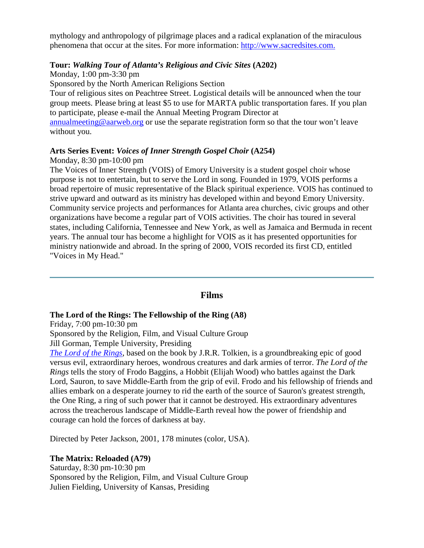mythology and anthropology of pilgrimage places and a radical explanation of the miraculous phenomena that occur at the sites. For more information: [http://www.sacredsites.com.](http://www.sacredsites.com/) 

# **Tour:** *Walking Tour of Atlanta's Religious and Civic Sites* **(A202)**

Monday, 1:00 pm-3:30 pm Sponsored by the North American Religions Section Tour of religious sites on Peachtree Street. Logistical details will be announced when the tour group meets. Please bring at least \$5 to use for MARTA public transportation fares. If you plan to participate, please e-mail the Annual Meeting Program Director at [annualmeeting@aarweb.org](mailto:annualmeeting@aarweb.org) or use the separate registration form so that the tour won't leave without you.

# **Arts Series Event:** *Voices of Inner Strength Gospel Choir* **(A254)**

Monday, 8:30 pm-10:00 pm

The Voices of Inner Strength (VOIS) of Emory University is a student gospel choir whose purpose is not to entertain, but to serve the Lord in song. Founded in 1979, VOIS performs a broad repertoire of music representative of the Black spiritual experience. VOIS has continued to strive upward and outward as its ministry has developed within and beyond Emory University. Community service projects and performances for Atlanta area churches, civic groups and other organizations have become a regular part of VOIS activities. The choir has toured in several states, including California, Tennessee and New York, as well as Jamaica and Bermuda in recent years. The annual tour has become a highlight for VOIS as it has presented opportunities for ministry nationwide and abroad. In the spring of 2000, VOIS recorded its first CD, entitled "Voices in My Head."

#### **Films**

#### <span id="page-12-0"></span>**The Lord of the Rings: The Fellowship of the Ring (A8)**

Friday, 7:00 pm-10:30 pm

Sponsored by the Religion, Film, and Visual Culture Group

Jill Gorman, Temple University, Presiding

*[The Lord of the Rings](http://www.lordoftherings.net/)*, based on the book by J.R.R. Tolkien, is a groundbreaking epic of good versus evil, extraordinary heroes, wondrous creatures and dark armies of terror. *The Lord of the Rings* tells the story of Frodo Baggins, a Hobbit (Elijah Wood) who battles against the Dark Lord, Sauron, to save Middle-Earth from the grip of evil. Frodo and his fellowship of friends and allies embark on a desperate journey to rid the earth of the source of Sauron's greatest strength, the One Ring, a ring of such power that it cannot be destroyed. His extraordinary adventures across the treacherous landscape of Middle-Earth reveal how the power of friendship and courage can hold the forces of darkness at bay.

Directed by Peter Jackson, 2001, 178 minutes (color, USA).

#### **The Matrix: Reloaded (A79)**

Saturday, 8:30 pm-10:30 pm Sponsored by the Religion, Film, and Visual Culture Group Julien Fielding, University of Kansas, Presiding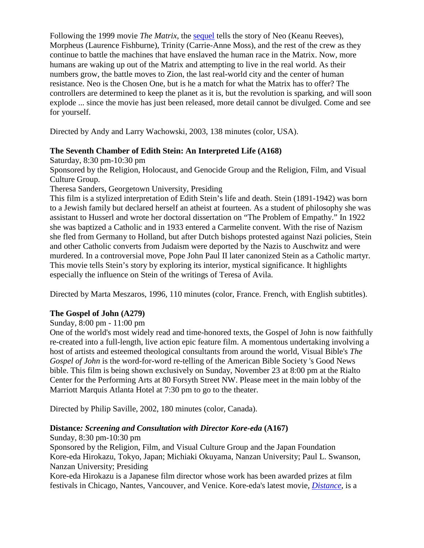Following the 1999 movie *The Matrix*, the [sequel](http://whatisthematrix.warnerbros.com/) tells the story of Neo (Keanu Reeves), Morpheus (Laurence Fishburne), Trinity (Carrie-Anne Moss), and the rest of the crew as they continue to battle the machines that have enslaved the human race in the Matrix. Now, more humans are waking up out of the Matrix and attempting to live in the real world. As their numbers grow, the battle moves to Zion, the last real-world city and the center of human resistance. Neo is the Chosen One, but is he a match for what the Matrix has to offer? The controllers are determined to keep the planet as it is, but the revolution is sparking, and will soon explode ... since the movie has just been released, more detail cannot be divulged. Come and see for yourself.

Directed by Andy and Larry Wachowski, 2003, 138 minutes (color, USA).

#### **The Seventh Chamber of Edith Stein: An Interpreted Life (A168)**

Saturday, 8:30 pm-10:30 pm

Sponsored by the Religion, Holocaust, and Genocide Group and the Religion, Film, and Visual Culture Group.

Theresa Sanders, Georgetown University, Presiding

This film is a stylized interpretation of Edith Stein's life and death. Stein (1891-1942) was born to a Jewish family but declared herself an atheist at fourteen. As a student of philosophy she was assistant to Husserl and wrote her doctoral dissertation on "The Problem of Empathy." In 1922 she was baptized a Catholic and in 1933 entered a Carmelite convent. With the rise of Nazism she fled from Germany to Holland, but after Dutch bishops protested against Nazi policies, Stein and other Catholic converts from Judaism were deported by the Nazis to Auschwitz and were murdered. In a controversial move, Pope John Paul II later canonized Stein as a Catholic martyr. This movie tells Stein's story by exploring its interior, mystical significance. It highlights especially the influence on Stein of the writings of Teresa of Avila.

Directed by Marta Meszaros, 1996, 110 minutes (color, France. French, with English subtitles).

# **The Gospel of John (A279)**

#### Sunday, 8:00 pm - 11:00 pm

One of the world's most widely read and time-honored texts, the Gospel of John is now faithfully re-created into a full-length, live action epic feature film. A momentous undertaking involving a host of artists and esteemed theological consultants from around the world, Visual Bible's *The Gospel of John* is the word-for-word re-telling of the American Bible Society 's Good News bible. This film is being shown exclusively on Sunday, November 23 at 8:00 pm at the Rialto Center for the Performing Arts at 80 Forsyth Street NW. Please meet in the main lobby of the Marriott Marquis Atlanta Hotel at 7:30 pm to go to the theater.

Directed by Philip Saville, 2002, 180 minutes (color, Canada).

# **Distance***: Screening and Consultation with Director Kore-eda* **(A167)**

Sunday, 8:30 pm-10:30 pm

Sponsored by the Religion, Film, and Visual Culture Group and the Japan Foundation Kore-eda Hirokazu, Tokyo, Japan; Michiaki Okuyama, Nanzan University; Paul L. Swanson, Nanzan University; Presiding

Kore-eda Hirokazu is a Japanese film director whose work has been awarded prizes at film festivals in Chicago, Nantes, Vancouver, and Venice. Kore-eda's latest movie, *[Distance](http://www.kore-eda.com/distance/index.htm)*, is a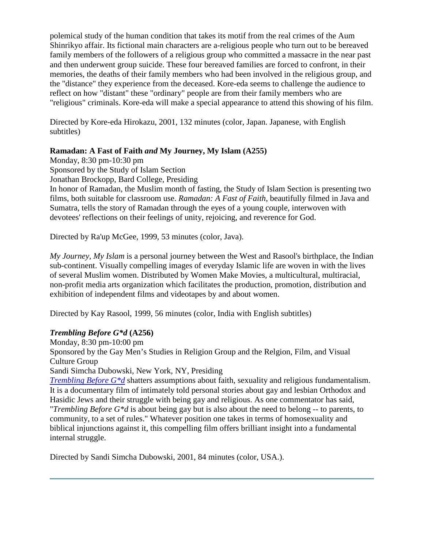polemical study of the human condition that takes its motif from the real crimes of the Aum Shinrikyo affair. Its fictional main characters are a-religious people who turn out to be bereaved family members of the followers of a religious group who committed a massacre in the near past and then underwent group suicide. These four bereaved families are forced to confront, in their memories, the deaths of their family members who had been involved in the religious group, and the "distance" they experience from the deceased. Kore-eda seems to challenge the audience to reflect on how "distant" these "ordinary" people are from their family members who are "religious" criminals. Kore-eda will make a special appearance to attend this showing of his film.

Directed by Kore-eda Hirokazu, 2001, 132 minutes (color, Japan. Japanese, with English subtitles)

# **Ramadan: A Fast of Faith** *and* **My Journey, My Islam (A255)**

Monday, 8:30 pm-10:30 pm Sponsored by the Study of Islam Section Jonathan Brockopp, Bard College, Presiding In honor of Ramadan, the Muslim month of fasting, the Study of Islam Section is presenting two films, both suitable for classroom use. *Ramadan: A Fast of Faith*, beautifully filmed in Java and Sumatra, tells the story of Ramadan through the eyes of a young couple, interwoven with devotees' reflections on their feelings of unity, rejoicing, and reverence for God.

Directed by Ra'up McGee, 1999, 53 minutes (color, Java).

*My Journey, My Islam* is a personal journey between the West and Rasool's birthplace, the Indian sub-continent. Visually compelling images of everyday Islamic life are woven in with the lives of several Muslim women. Distributed by Women Make Movies, a multicultural, multiracial, non-profit media arts organization which facilitates the production, promotion, distribution and exhibition of independent films and videotapes by and about women.

Directed by Kay Rasool, 1999, 56 minutes (color, India with English subtitles)

# *Trembling Before G\*d* **(A256)**

Monday, 8:30 pm-10:00 pm Sponsored by the Gay Men's Studies in Religion Group and the Relgion, Film, and Visual Culture Group Sandi Simcha Dubowski, New York, NY, Presiding

*Trembling Before G<sup>\*</sup>d* shatters assumptions about faith, sexuality and religious fundamentalism. It is a documentary film of intimately told personal stories about gay and lesbian Orthodox and Hasidic Jews and their struggle with being gay and religious. As one commentator has said, "*Trembling Before G\*d* is about being gay but is also about the need to belong -- to parents, to community, to a set of rules." Whatever position one takes in terms of homosexuality and biblical injunctions against it, this compelling film offers brilliant insight into a fundamental internal struggle.

Directed by Sandi Simcha Dubowski, 2001, 84 minutes (color, USA.).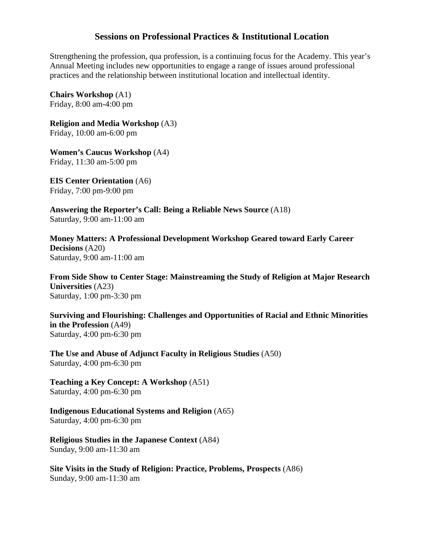# **Sessions on Professional Practices & Institutional Location**

<span id="page-15-0"></span>Strengthening the profession, qua profession, is a continuing focus for the Academy. This year's Annual Meeting includes new opportunities to engage a range of issues around professional practices and the relationship between institutional location and intellectual identity.

**Chairs Workshop** (A1) Friday, 8:00 am-4:00 pm

**Religion and Media Workshop** (A3) Friday, 10:00 am-6:00 pm

**Women's Caucus Workshop** (A4) Friday, 11:30 am-5:00 pm

**EIS Center Orientation** (A6) Friday, 7:00 pm-9:00 pm

**Answering the Reporter's Call: Being a Reliable News Source** (A18) Saturday, 9:00 am-11:00 am

**Money Matters: A Professional Development Workshop Geared toward Early Career Decisions** (A20) Saturday, 9:00 am-11:00 am

**From Side Show to Center Stage: Mainstreaming the Study of Religion at Major Research Universities** (A23) Saturday, 1:00 pm-3:30 pm

**Surviving and Flourishing: Challenges and Opportunities of Racial and Ethnic Minorities in the Profession** (A49) Saturday, 4:00 pm-6:30 pm

**The Use and Abuse of Adjunct Faculty in Religious Studies** (A50) Saturday, 4:00 pm-6:30 pm

**Teaching a Key Concept: A Workshop** (A51) Saturday, 4:00 pm-6:30 pm

**Indigenous Educational Systems and Religion** (A65) Saturday, 4:00 pm-6:30 pm

**Religious Studies in the Japanese Context** (A84) Sunday, 9:00 am-11:30 am

**Site Visits in the Study of Religion: Practice, Problems, Prospects** (A86) Sunday, 9:00 am-11:30 am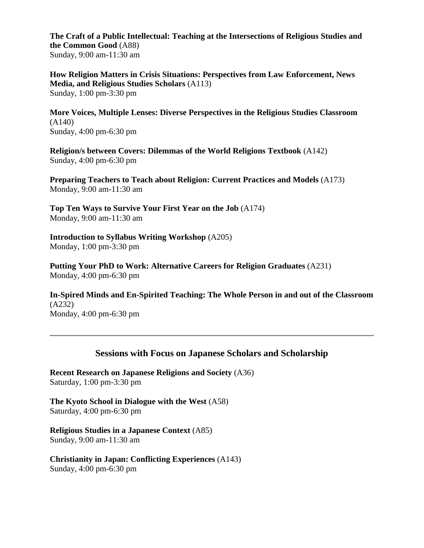**The Craft of a Public Intellectual: Teaching at the Intersections of Religious Studies and the Common Good** (A88) Sunday, 9:00 am-11:30 am

**How Religion Matters in Crisis Situations: Perspectives from Law Enforcement, News Media, and Religious Studies Scholars** (A113) Sunday, 1:00 pm-3:30 pm

**More Voices, Multiple Lenses: Diverse Perspectives in the Religious Studies Classroom** (A140) Sunday, 4:00 pm-6:30 pm

**Religion/s between Covers: Dilemmas of the World Religions Textbook** (A142) Sunday, 4:00 pm-6:30 pm

**Preparing Teachers to Teach about Religion: Current Practices and Models** (A173) Monday, 9:00 am-11:30 am

**Top Ten Ways to Survive Your First Year on the Job** (A174) Monday, 9:00 am-11:30 am

**Introduction to Syllabus Writing Workshop** (A205) Monday, 1:00 pm-3:30 pm

**Putting Your PhD to Work: Alternative Careers for Religion Graduates** (A231) Monday, 4:00 pm-6:30 pm

**In-Spired Minds and En-Spirited Teaching: The Whole Person in and out of the Classroom** (A232) Monday, 4:00 pm-6:30 pm

# **Sessions with Focus on Japanese Scholars and Scholarship**

<span id="page-16-0"></span>**Recent Research on Japanese Religions and Society** (A36) Saturday, 1:00 pm-3:30 pm

**The Kyoto School in Dialogue with the West** (A58) Saturday, 4:00 pm-6:30 pm

**Religious Studies in a Japanese Context** (A85) Sunday, 9:00 am-11:30 am

**Christianity in Japan: Conflicting Experiences** (A143) Sunday, 4:00 pm-6:30 pm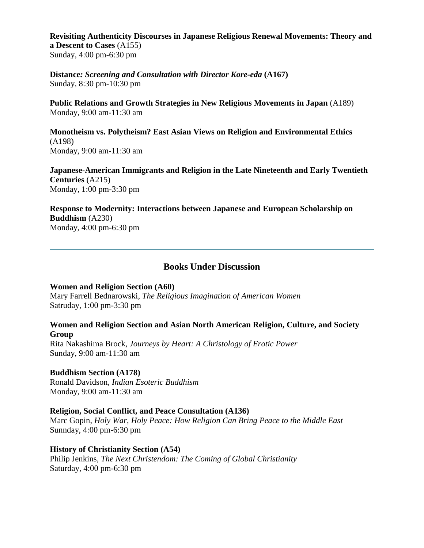**Revisiting Authenticity Discourses in Japanese Religious Renewal Movements: Theory and a Descent to Cases** (A155) Sunday, 4:00 pm-6:30 pm

**Distance***: Screening and Consultation with Director Kore-eda* **(A167)** Sunday, 8:30 pm-10:30 pm

**Public Relations and Growth Strategies in New Religious Movements in Japan** (A189) Monday, 9:00 am-11:30 am

**Monotheism vs. Polytheism? East Asian Views on Religion and Environmental Ethics** (A198) Monday, 9:00 am-11:30 am

**Japanese-American Immigrants and Religion in the Late Nineteenth and Early Twentieth Centuries** (A215) Monday, 1:00 pm-3:30 pm

**Response to Modernity: Interactions between Japanese and European Scholarship on Buddhism** (A230) Monday, 4:00 pm-6:30 pm

# **Books Under Discussion**

#### <span id="page-17-0"></span>**Women and Religion Section (A60)**

Mary Farrell Bednarowski, *The Religious Imagination of American Women* Satruday, 1:00 pm-3:30 pm

#### **Women and Religion Section and Asian North American Religion, Culture, and Society Group**

Rita Nakashima Brock, *Journeys by Heart: A Christology of Erotic Power* Sunday, 9:00 am-11:30 am

#### **Buddhism Section (A178)**

Ronald Davidson, *Indian Esoteric Buddhism* Monday, 9:00 am-11:30 am

#### **Religion, Social Conflict, and Peace Consultation (A136)**

Marc Gopin, *Holy War, Holy Peace: How Religion Can Bring Peace to the Middle East* Sunnday, 4:00 pm-6:30 pm

#### **History of Christianity Section (A54)**

Philip Jenkins, *The Next Christendom: The Coming of Global Christianity* Saturday, 4:00 pm-6:30 pm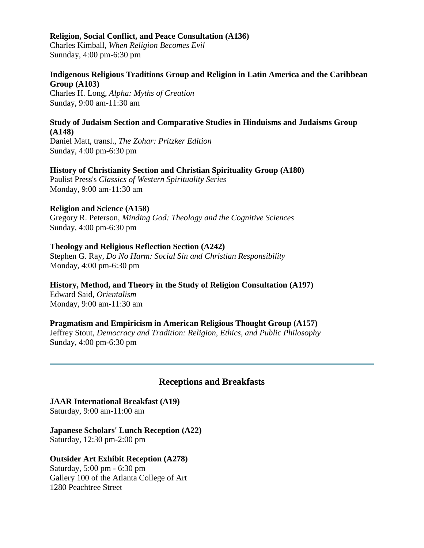#### **Religion, Social Conflict, and Peace Consultation (A136)**

Charles Kimball, *When Religion Becomes Evil* Sunnday, 4:00 pm-6:30 pm

#### **Indigenous Religious Traditions Group and Religion in Latin America and the Caribbean Group (A103)**

Charles H. Long, *Alpha: Myths of Creation* Sunday, 9:00 am-11:30 am

#### **Study of Judaism Section and Comparative Studies in Hinduisms and Judaisms Group (A148)**

Daniel Matt, transl., *The Zohar: Pritzker Edition* Sunday, 4:00 pm-6:30 pm

#### **History of Christianity Section and Christian Spirituality Group (A180)**

Paulist Press's *Classics of Western Spirituality Series* Monday, 9:00 am-11:30 am

#### **Religion and Science (A158)**

Gregory R. Peterson, *Minding God: Theology and the Cognitive Sciences* Sunday, 4:00 pm-6:30 pm

#### **Theology and Religious Reflection Section (A242)**

Stephen G. Ray, *Do No Harm: Social Sin and Christian Responsibility* Monday, 4:00 pm-6:30 pm

#### **History, Method, and Theory in the Study of Religion Consultation (A197)**

Edward Said, *Orientalism* Monday, 9:00 am-11:30 am

#### **Pragmatism and Empiricism in American Religious Thought Group (A157)**

Jeffrey Stout, *Democracy and Tradition: Religion, Ethics, and Public Philosophy* Sunday, 4:00 pm-6:30 pm

# **Receptions and Breakfasts**

#### <span id="page-18-0"></span>**JAAR International Breakfast (A19)**  Saturday, 9:00 am-11:00 am

**Japanese Scholars' Lunch Reception (A22)**  Saturday, 12:30 pm-2:00 pm

# **Outsider Art Exhibit Reception (A278)**

Saturday, 5:00 pm - 6:30 pm Gallery 100 of the Atlanta College of Art 1280 Peachtree Street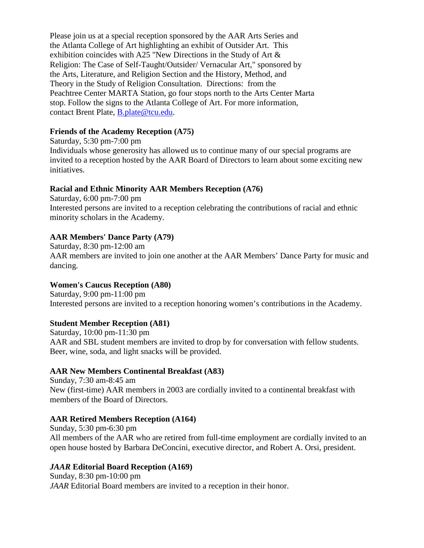Please join us at a special reception sponsored by the AAR Arts Series and the Atlanta College of Art highlighting an exhibit of Outsider Art. This exhibition coincides with A25 "New Directions in the Study of Art & Religion: The Case of Self-Taught/Outsider/ Vernacular Art," sponsored by the Arts, Literature, and Religion Section and the History, Method, and Theory in the Study of Religion Consultation. Directions: from the Peachtree Center MARTA Station, go four stops north to the Arts Center Marta stop. Follow the signs to the Atlanta College of Art. For more information, contact Brent Plate, [B.plate@tcu.edu.](mailto:B.plate@tcu.edu)

# **Friends of the Academy Reception (A75)**

Saturday, 5:30 pm-7:00 pm Individuals whose generosity has allowed us to continue many of our special programs are invited to a reception hosted by the AAR Board of Directors to learn about some exciting new initiatives.

# **Racial and Ethnic Minority AAR Members Reception (A76)**

Saturday, 6:00 pm-7:00 pm Interested persons are invited to a reception celebrating the contributions of racial and ethnic minority scholars in the Academy.

# **AAR Members' Dance Party (A79)**

Saturday, 8:30 pm-12:00 am AAR members are invited to join one another at the AAR Members' Dance Party for music and dancing.

# **Women's Caucus Reception (A80)**

Saturday, 9:00 pm-11:00 pm Interested persons are invited to a reception honoring women's contributions in the Academy.

# **Student Member Reception (A81)**

Saturday, 10:00 pm-11:30 pm AAR and SBL student members are invited to drop by for conversation with fellow students. Beer, wine, soda, and light snacks will be provided.

# **AAR New Members Continental Breakfast (A83)**

Sunday, 7:30 am-8:45 am New (first-time) AAR members in 2003 are cordially invited to a continental breakfast with members of the Board of Directors.

# **AAR Retired Members Reception (A164)**

Sunday, 5:30 pm-6:30 pm All members of the AAR who are retired from full-time employment are cordially invited to an open house hosted by Barbara DeConcini, executive director, and Robert A. Orsi, president.

# *JAAR* **Editorial Board Reception (A169)**

Sunday, 8:30 pm-10:00 pm *JAAR* Editorial Board members are invited to a reception in their honor.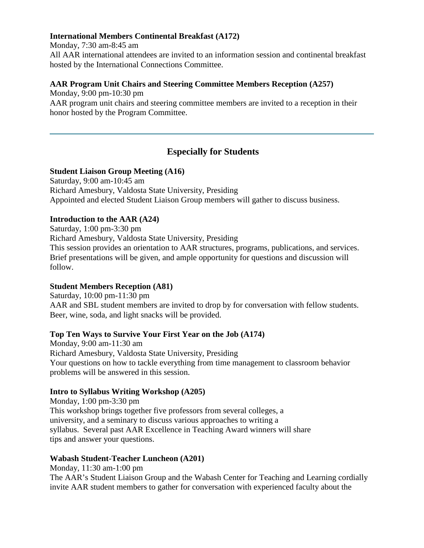#### **International Members Continental Breakfast (A172)**

Monday, 7:30 am-8:45 am

All AAR international attendees are invited to an information session and continental breakfast hosted by the International Connections Committee.

#### **AAR Program Unit Chairs and Steering Committee Members Reception (A257)**

Monday, 9:00 pm-10:30 pm

AAR program unit chairs and steering committee members are invited to a reception in their honor hosted by the Program Committee.

# <span id="page-20-0"></span>**Especially for Students**

#### **Student Liaison Group Meeting (A16)**

Saturday, 9:00 am-10:45 am Richard Amesbury, Valdosta State University, Presiding Appointed and elected Student Liaison Group members will gather to discuss business.

# **Introduction to the AAR (A24)**

Saturday, 1:00 pm-3:30 pm Richard Amesbury, Valdosta State University, Presiding This session provides an orientation to AAR structures, programs, publications, and services. Brief presentations will be given, and ample opportunity for questions and discussion will follow.

# **Student Members Reception (A81)**

Saturday, 10:00 pm-11:30 pm AAR and SBL student members are invited to drop by for conversation with fellow students. Beer, wine, soda, and light snacks will be provided.

# **Top Ten Ways to Survive Your First Year on the Job (A174)**

Monday, 9:00 am-11:30 am Richard Amesbury, Valdosta State University, Presiding Your questions on how to tackle everything from time management to classroom behavior problems will be answered in this session.

# **Intro to Syllabus Writing Workshop (A205)**

Monday, 1:00 pm-3:30 pm This workshop brings together five professors from several colleges, a university, and a seminary to discuss various approaches to writing a syllabus. Several past AAR Excellence in Teaching Award winners will share tips and answer your questions.

# **Wabash Student-Teacher Luncheon (A201)**

Monday, 11:30 am-1:00 pm The AAR's Student Liaison Group and the Wabash Center for Teaching and Learning cordially invite AAR student members to gather for conversation with experienced faculty about the